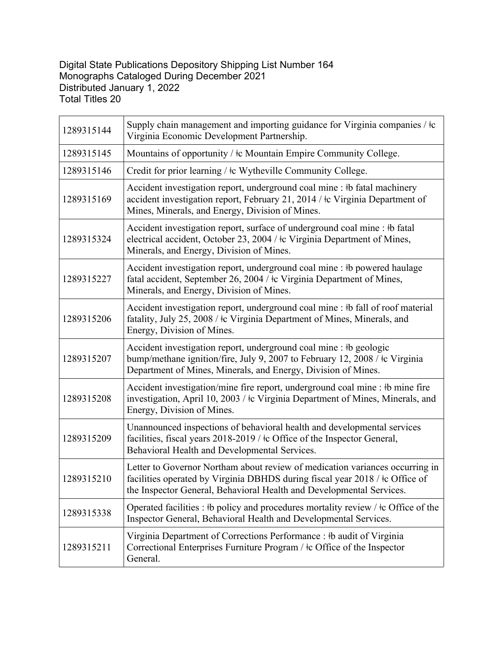## Digital State Publications Depository Shipping List Number 164 Monographs Cataloged During December 2021 Distributed January 1, 2022 Total Titles 20

| 1289315144 | Supply chain management and importing guidance for Virginia companies / $\pm c$<br>Virginia Economic Development Partnership.                                                                                                             |
|------------|-------------------------------------------------------------------------------------------------------------------------------------------------------------------------------------------------------------------------------------------|
| 1289315145 | Mountains of opportunity / $\pm c$ Mountain Empire Community College.                                                                                                                                                                     |
| 1289315146 | Credit for prior learning / $\pm c$ Wytheville Community College.                                                                                                                                                                         |
| 1289315169 | Accident investigation report, underground coal mine : #b fatal machinery<br>accident investigation report, February 21, 2014 / $\pm c$ Virginia Department of<br>Mines, Minerals, and Energy, Division of Mines.                         |
| 1289315324 | Accident investigation report, surface of underground coal mine : #b fatal<br>electrical accident, October 23, 2004 / $\pm c$ Virginia Department of Mines,<br>Minerals, and Energy, Division of Mines.                                   |
| 1289315227 | Accident investigation report, underground coal mine : #b powered haulage<br>fatal accident, September 26, 2004 / $\pm$ Virginia Department of Mines,<br>Minerals, and Energy, Division of Mines.                                         |
| 1289315206 | Accident investigation report, underground coal mine : #b fall of roof material<br>fatality, July 25, 2008 / $\pm$ Virginia Department of Mines, Minerals, and<br>Energy, Division of Mines.                                              |
| 1289315207 | Accident investigation report, underground coal mine : #b geologic<br>bump/methane ignition/fire, July 9, 2007 to February 12, 2008 / $\pm c$ Virginia<br>Department of Mines, Minerals, and Energy, Division of Mines.                   |
| 1289315208 | Accident investigation/mine fire report, underground coal mine : #b mine fire<br>investigation, April 10, 2003 / $\pm c$ Virginia Department of Mines, Minerals, and<br>Energy, Division of Mines.                                        |
| 1289315209 | Unannounced inspections of behavioral health and developmental services<br>facilities, fiscal years 2018-2019 / ‡c Office of the Inspector General,<br>Behavioral Health and Developmental Services.                                      |
| 1289315210 | Letter to Governor Northam about review of medication variances occurring in<br>facilities operated by Virginia DBHDS during fiscal year 2018 / $\pm$ c Office of<br>the Inspector General, Behavioral Health and Developmental Services. |
| 1289315338 | Operated facilities : #b policy and procedures mortality review / $\pm$ c Office of the<br>Inspector General, Behavioral Health and Developmental Services.                                                                               |
| 1289315211 | Virginia Department of Corrections Performance : #b audit of Virginia<br>Correctional Enterprises Furniture Program / $\pm$ Office of the Inspector<br>General.                                                                           |